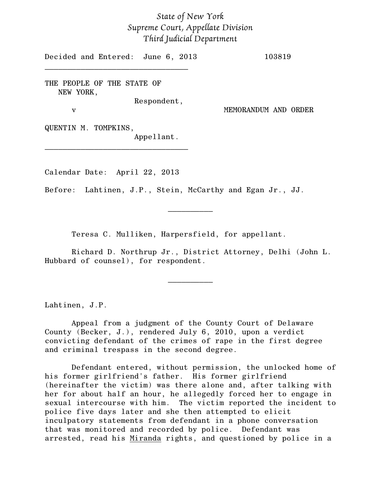## *State of New York Supreme Court, Appellate Division Third Judicial Department*

Decided and Entered: June 6, 2013 103819

THE PEOPLE OF THE STATE OF NEW YORK,

\_\_\_\_\_\_\_\_\_\_\_\_\_\_\_\_\_\_\_\_\_\_\_\_\_\_\_\_\_\_\_\_

Respondent,

v MEMORANDUM AND ORDER

QUENTIN M. TOMPKINS,

Appellant.

Calendar Date: April 22, 2013

\_\_\_\_\_\_\_\_\_\_\_\_\_\_\_\_\_\_\_\_\_\_\_\_\_\_\_\_\_\_\_\_

Before: Lahtinen, J.P., Stein, McCarthy and Egan Jr., JJ.

Teresa C. Mulliken, Harpersfield, for appellant.

Richard D. Northrup Jr., District Attorney, Delhi (John L. Hubbard of counsel), for respondent.

\_\_\_\_\_\_\_\_\_\_

 $\frac{1}{2}$ 

Lahtinen, J.P.

Appeal from a judgment of the County Court of Delaware County (Becker, J.), rendered July 6, 2010, upon a verdict convicting defendant of the crimes of rape in the first degree and criminal trespass in the second degree.

Defendant entered, without permission, the unlocked home of his former girlfriend's father. His former girlfriend (hereinafter the victim) was there alone and, after talking with her for about half an hour, he allegedly forced her to engage in sexual intercourse with him. The victim reported the incident to police five days later and she then attempted to elicit inculpatory statements from defendant in a phone conversation that was monitored and recorded by police. Defendant was arrested, read his Miranda rights, and questioned by police in a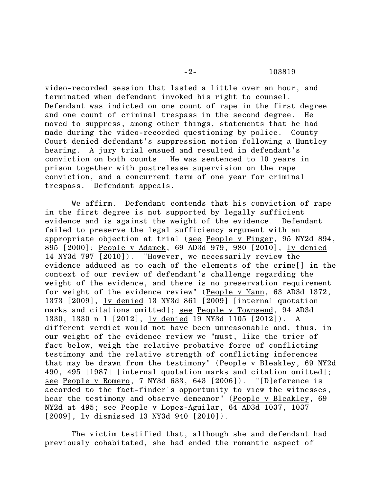video-recorded session that lasted a little over an hour, and terminated when defendant invoked his right to counsel. Defendant was indicted on one count of rape in the first degree and one count of criminal trespass in the second degree. He moved to suppress, among other things, statements that he had made during the video-recorded questioning by police. County Court denied defendant's suppression motion following a Huntley hearing. A jury trial ensued and resulted in defendant's conviction on both counts. He was sentenced to 10 years in prison together with postrelease supervision on the rape conviction, and a concurrent term of one year for criminal trespass. Defendant appeals.

We affirm. Defendant contends that his conviction of rape in the first degree is not supported by legally sufficient evidence and is against the weight of the evidence. Defendant failed to preserve the legal sufficiency argument with an appropriate objection at trial (see People v Finger, 95 NY2d 894, 895 [2000]; People v Adamek, 69 AD3d 979, 980 [2010], lv denied 14 NY3d 797 [2010]). "However, we necessarily review the evidence adduced as to each of the elements of the crime[] in the context of our review of defendant's challenge regarding the weight of the evidence, and there is no preservation requirement for weight of the evidence review" (People v Mann, 63 AD3d 1372, 1373 [2009], lv denied 13 NY3d 861 [2009] [internal quotation marks and citations omitted]; see People v Townsend, 94 AD3d 1330, 1330 n 1 [2012], lv denied 19 NY3d 1105 [2012]). A different verdict would not have been unreasonable and, thus, in our weight of the evidence review we "must, like the trier of fact below, weigh the relative probative force of conflicting testimony and the relative strength of conflicting inferences that may be drawn from the testimony" (People v Bleakley, 69 NY2d 490, 495 [1987] [internal quotation marks and citation omitted]; see People v Romero, 7 NY3d 633, 643 [2006]). "[D]eference is accorded to the fact-finder's opportunity to view the witnesses, hear the testimony and observe demeanor" (People v Bleakley, 69 NY2d at 495; see People v Lopez-Aguilar, 64 AD3d 1037, 1037 [2009], lv dismissed 13 NY3d 940 [2010]).

The victim testified that, although she and defendant had previously cohabitated, she had ended the romantic aspect of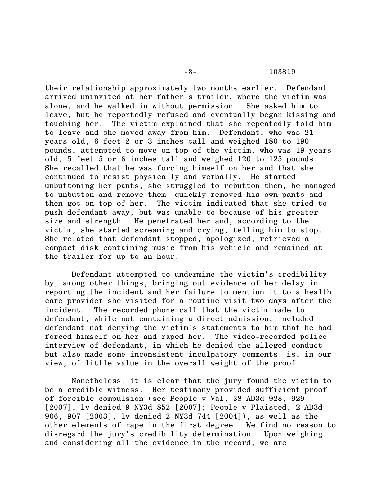their relationship approximately two months earlier. Defendant arrived uninvited at her father's trailer, where the victim was alone, and he walked in without permission. She asked him to leave, but he reportedly refused and eventually began kissing and touching her. The victim explained that she repeatedly told him to leave and she moved away from him. Defendant, who was 21 years old, 6 feet 2 or 3 inches tall and weighed 180 to 190 pounds, attempted to move on top of the victim, who was 19 years old, 5 feet 5 or 6 inches tall and weighed 120 to 125 pounds. She recalled that he was forcing himself on her and that she continued to resist physically and verbally. He started unbuttoning her pants, she struggled to rebutton them, he managed to unbutton and remove them, quickly removed his own pants and then got on top of her. The victim indicated that she tried to push defendant away, but was unable to because of his greater size and strength. He penetrated her and, according to the victim, she started screaming and crying, telling him to stop. She related that defendant stopped, apologized, retrieved a compact disk containing music from his vehicle and remained at the trailer for up to an hour.

Defendant attempted to undermine the victim's credibility by, among other things, bringing out evidence of her delay in reporting the incident and her failure to mention it to a health care provider she visited for a routine visit two days after the incident. The recorded phone call that the victim made to defendant, while not containing a direct admission, included defendant not denying the victim's statements to him that he had forced himself on her and raped her. The video-recorded police interview of defendant, in which he denied the alleged conduct but also made some inconsistent inculpatory comments, is, in our view, of little value in the overall weight of the proof.

Nonetheless, it is clear that the jury found the victim to be a credible witness. Her testimony provided sufficient proof of forcible compulsion (see People v Val, 38 AD3d 928, 929 [2007], lv denied 9 NY3d 852 [2007]; People v Plaisted, 2 AD3d 906, 907 [2003], lv denied 2 NY3d 744 [2004]), as well as the other elements of rape in the first degree. We find no reason to disregard the jury's credibility determination. Upon weighing and considering all the evidence in the record, we are